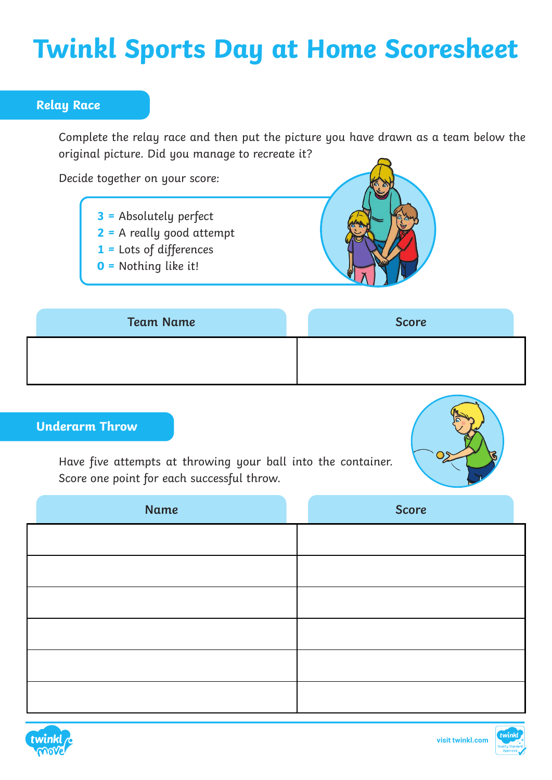# **Twinkl Sports Day at Home Scoresheet**

### **Relay Race**

Complete the relay race and then put the picture you have drawn as a team below the original picture. Did you manage to recreate it?

Decide together on your score:

- **3 =** Absolutely perfect
- **2 =** A really good attempt
- **1 =** Lots of differences
- **0 =** Nothing like it!



| <b>Team Name</b> | <b>Score</b> |
|------------------|--------------|
|                  |              |
|                  |              |

## **Underarm Throw**

Have five attempts at throwing your ball into the container. Score one point for each successful throw.



| Name | Score |
|------|-------|
|      |       |
|      |       |
|      |       |
|      |       |
|      |       |
|      |       |

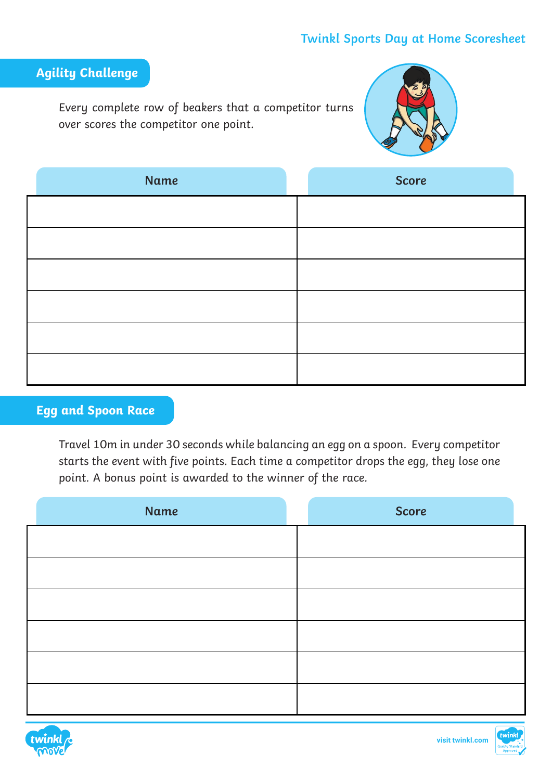## **Twinkl Sports Day at Home Scoresheet**

# **Agility Challenge**

Every complete row of beakers that a competitor turns over scores the competitor one point.



| <b>Name</b> | <b>Score</b> |
|-------------|--------------|
|             |              |
|             |              |
|             |              |
|             |              |
|             |              |
|             |              |

# **Egg and Spoon Race**

Travel 10m in under 30 seconds while balancing an egg on a spoon. Every competitor starts the event with five points. Each time a competitor drops the egg, they lose one point. A bonus point is awarded to the winner of the race.

| Name | <b>Score</b> |
|------|--------------|
|      |              |
|      |              |
|      |              |
|      |              |
|      |              |
|      |              |



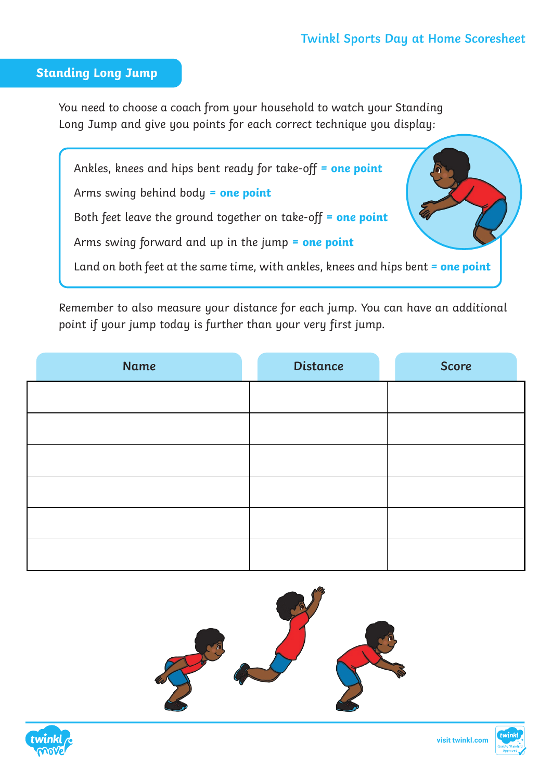#### **Standing Long Jump**

You need to choose a coach from your household to watch your Standing Long Jump and give you points for each correct technique you display:

Ankles, knees and hips bent ready for take-off **= one point** Arms swing behind body **= one point** Both feet leave the ground together on take-off **= one point** Arms swing forward and up in the jump **= one point** Land on both feet at the same time, with ankles, knees and hips bent **= one point**

Remember to also measure your distance for each jump. You can have an additional point if your jump today is further than your very first jump.

| Name | <b>Distance</b> | <b>Score</b> |
|------|-----------------|--------------|
|      |                 |              |
|      |                 |              |
|      |                 |              |
|      |                 |              |
|      |                 |              |
|      |                 |              |